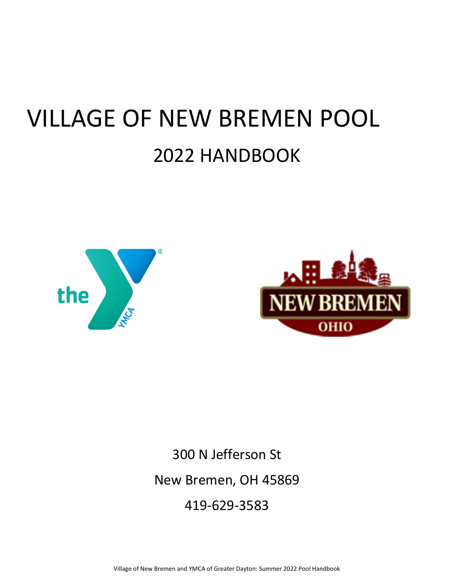# VILLAGE OF NEW BREMEN POOL 2022 HANDBOOK





300 N Jefferson St New Bremen, OH 45869 419-629-3583

Village of New Bremen and YMCA of Greater Dayton: Summer 2022 Pool Handbook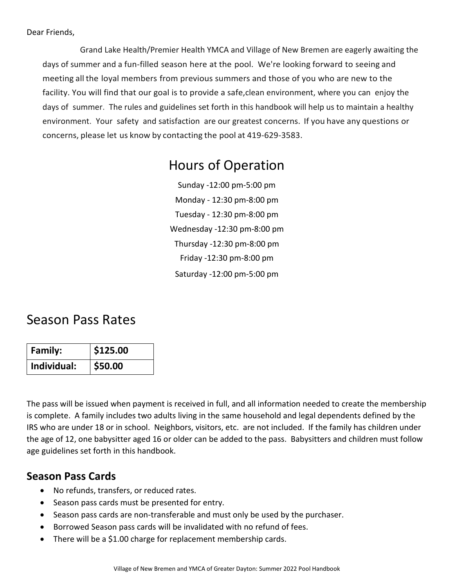Grand Lake Health/Premier Health YMCA and Village of New Bremen are eagerly awaiting the days of summer and a fun-filled season here at the pool. We're looking forward to seeing and meeting all the loyal members from previous summers and those of you who are new to the facility. You will find that our goal is to provide a safe,clean environment, where you can enjoy the days of summer. The rules and guidelines set forth in this handbook will help us to maintain a healthy environment. Your safety and satisfaction are our greatest concerns. If you have any questions or concerns, please let us know by contacting the pool at 419-629-3583.

# Hours of Operation

Sunday -12:00 pm-5:00 pm Monday - 12:30 pm-8:00 pm Tuesday - 12:30 pm-8:00 pm Wednesday -12:30 pm-8:00 pm Thursday -12:30 pm-8:00 pm Friday -12:30 pm-8:00 pm Saturday -12:00 pm-5:00 pm

# Season Pass Rates

| <b>Family:</b> | \$125.00 |
|----------------|----------|
| Individual:    | \$50.00  |

The pass will be issued when payment is received in full, and all information needed to create the membership is complete. A family includes two adults living in the same household and legal dependents defined by the IRS who are under 18 or in school. Neighbors, visitors, etc. are not included. If the family has children under the age of 12, one babysitter aged 16 or older can be added to the pass. Babysitters and children must follow age guidelines set forth in this handbook.

# **Season Pass Cards**

- No refunds, transfers, or reduced rates.
- Season pass cards must be presented for entry.
- Season pass cards are non-transferable and must only be used by the purchaser.
- Borrowed Season pass cards will be invalidated with no refund of fees.
- There will be a \$1.00 charge for replacement membership cards.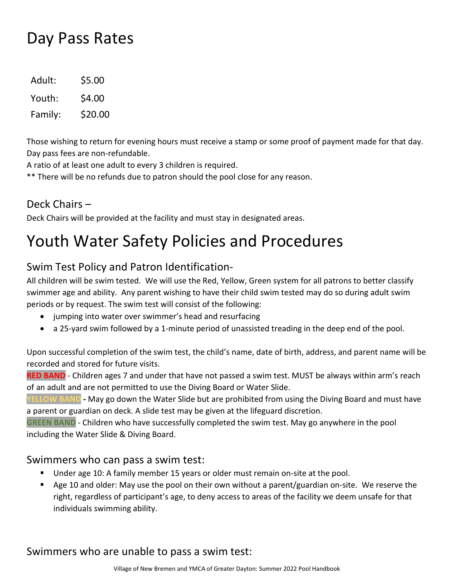# Day Pass Rates

| Adult:  | \$5.00  |
|---------|---------|
| Youth:  | \$4.00  |
| Family: | \$20.00 |

Those wishing to return for evening hours must receive a stamp or some proof of payment made for that day. Day pass fees are non-refundable.

A ratio of at least one adult to every 3 children is required.

\*\* There will be no refunds due to patron should the pool close for any reason.

# Deck Chairs –

Deck Chairs will be provided at the facility and must stay in designated areas.

# Youth Water Safety Policies and Procedures

# Swim Test Policy and Patron Identification-

All children will be swim tested. We will use the Red, Yellow, Green system for all patrons to better classify swimmer age and ability. Any parent wishing to have their child swim tested may do so during adult swim periods or by request. The swim test will consist of the following:

- jumping into water over swimmer's head and resurfacing
- a 25-yard swim followed by a 1-minute period of unassisted treading in the deep end of the pool.

Upon successful completion of the swim test, the child's name, date of birth, address, and parent name will be recorded and stored for future visits.

RED BAND - Children ages 7 and under that have not passed a swim test. MUST be always within arm's reach of an adult and are not permitted to use the Diving Board or Water Slide.

**YELLOW BAND -** May go down the Water Slide but are prohibited from using the Diving Board and must have a parent or guardian on deck. A slide test may be given at the lifeguard discretion.

**GREEN BAND** - Children who have successfully completed the swim test. May go anywhere in the pool including the Water Slide & Diving Board.

#### Swimmers who can pass a swim test:

- **Under age 10: A family member 15 years or older must remain on-site at the pool.**
- Age 10 and older: May use the pool on their own without a parent/guardian on-site. We reserve the right, regardless of participant's age, to deny access to areas of the facility we deem unsafe for that individuals swimming ability.

# Swimmers who are unable to pass a swim test: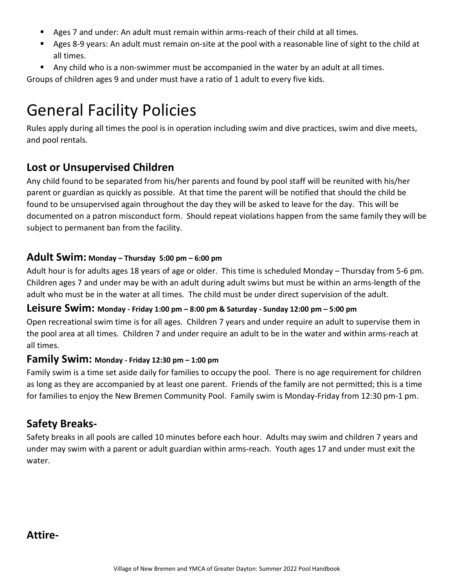- Ages 7 and under: An adult must remain within arms-reach of their child at all times.
- Ages 8-9 years: An adult must remain on-site at the pool with a reasonable line of sight to the child at all times.
- Any child who is a non-swimmer must be accompanied in the water by an adult at all times.

Groups of children ages 9 and under must have a ratio of 1 adult to every five kids.

# General Facility Policies

Rules apply during all times the pool is in operation including swim and dive practices, swim and dive meets, and pool rentals.

# **Lost or Unsupervised Children**

Any child found to be separated from his/her parents and found by pool staff will be reunited with his/her parent or guardian as quickly as possible. At that time the parent will be notified that should the child be found to be unsupervised again throughout the day they will be asked to leave for the day. This will be documented on a patron misconduct form. Should repeat violations happen from the same family they will be subject to permanent ban from the facility.

#### **Adult Swim: Monday – Thursday 5:00 pm – 6:00 pm**

Adult hour is for adults ages 18 years of age or older. This time is scheduled Monday – Thursday from 5-6 pm. Children ages 7 and under may be with an adult during adult swims but must be within an arms-length of the adult who must be in the water at all times. The child must be under direct supervision of the adult.

#### **Leisure Swim: Monday - Friday 1:00 pm – 8:00 pm & Saturday - Sunday 12:00 pm – 5:00 pm**

Open recreational swim time is for all ages. Children 7 years and under require an adult to supervise them in the pool area at all times. Children 7 and under require an adult to be in the water and within arms-reach at all times.

#### **Family Swim: Monday - Friday 12:30 pm – 1:00 pm**

Family swim is a time set aside daily for families to occupy the pool. There is no age requirement for children as long as they are accompanied by at least one parent. Friends of the family are not permitted; this is a time for families to enjoy the New Bremen Community Pool. Family swim is Monday-Friday from 12:30 pm-1 pm.

# **Safety Breaks-**

Safety breaks in all pools are called 10 minutes before each hour. Adults may swim and children 7 years and under may swim with a parent or adult guardian within arms-reach. Youth ages 17 and under must exit the water.

**Attire-**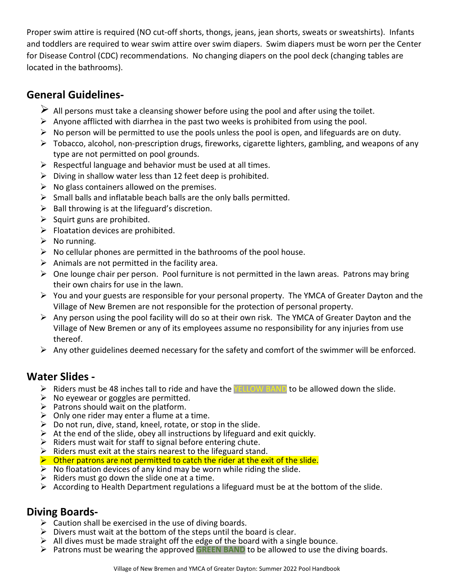Proper swim attire is required (NO cut-off shorts, thongs, jeans, jean shorts, sweats or sweatshirts). Infants and toddlers are required to wear swim attire over swim diapers. Swim diapers must be worn per the Center for Disease Control (CDC) recommendations. No changing diapers on the pool deck (changing tables are located in the bathrooms).

# **General Guidelines-**

- $\triangleright$  All persons must take a cleansing shower before using the pool and after using the toilet.
- $\triangleright$  Anyone afflicted with diarrhea in the past two weeks is prohibited from using the pool.
- $\triangleright$  No person will be permitted to use the pools unless the pool is open, and lifeguards are on duty.
- $\triangleright$  Tobacco, alcohol, non-prescription drugs, fireworks, cigarette lighters, gambling, and weapons of any type are not permitted on pool grounds.
- $\triangleright$  Respectful language and behavior must be used at all times.
- $\triangleright$  Diving in shallow water less than 12 feet deep is prohibited.
- $\triangleright$  No glass containers allowed on the premises.
- $\triangleright$  Small balls and inflatable beach balls are the only balls permitted.
- $\triangleright$  Ball throwing is at the lifeguard's discretion.
- $\triangleright$  Squirt guns are prohibited.
- $\triangleright$  Floatation devices are prohibited.
- $\triangleright$  No running.
- $\triangleright$  No cellular phones are permitted in the bathrooms of the pool house.
- $\triangleright$  Animals are not permitted in the facility area.
- $\triangleright$  One lounge chair per person. Pool furniture is not permitted in the lawn areas. Patrons may bring their own chairs for use in the lawn.
- You and your guests are responsible for your personal property. The YMCA of Greater Dayton and the Village of New Bremen are not responsible for the protection of personal property.
- $\triangleright$  Any person using the pool facility will do so at their own risk. The YMCA of Greater Dayton and the Village of New Bremen or any of its employees assume no responsibility for any injuries from use thereof.
- $\triangleright$  Any other guidelines deemed necessary for the safety and comfort of the swimmer will be enforced.

# **Water Slides -**

- $\triangleright$  Riders must be 48 inches tall to ride and have the **YELLOW BAND** to be allowed down the slide.
- $\triangleright$  No eyewear or goggles are permitted.
- $\triangleright$  Patrons should wait on the platform.
- $\triangleright$  Only one rider may enter a flume at a time.
- $\triangleright$  Do not run, dive, stand, kneel, rotate, or stop in the slide.
- $\triangleright$  At the end of the slide, obey all instructions by lifeguard and exit quickly.
- $\triangleright$  Riders must wait for staff to signal before entering chute.
- $\triangleright$  Riders must exit at the stairs nearest to the lifeguard stand.
- $\triangleright$  Other patrons are not permitted to catch the rider at the exit of the slide.
- $\triangleright$  No floatation devices of any kind may be worn while riding the slide.
- $\triangleright$  Riders must go down the slide one at a time.
- $\triangleright$  According to Health Department regulations a lifeguard must be at the bottom of the slide.

# **Diving Boards-**

- $\triangleright$  Caution shall be exercised in the use of diving boards.
- $\triangleright$  Divers must wait at the bottom of the steps until the board is clear.
- $\triangleright$  All dives must be made straight off the edge of the board with a single bounce.
- **►** Patrons must be wearing the approved GREEN BAND to be allowed to use the diving boards.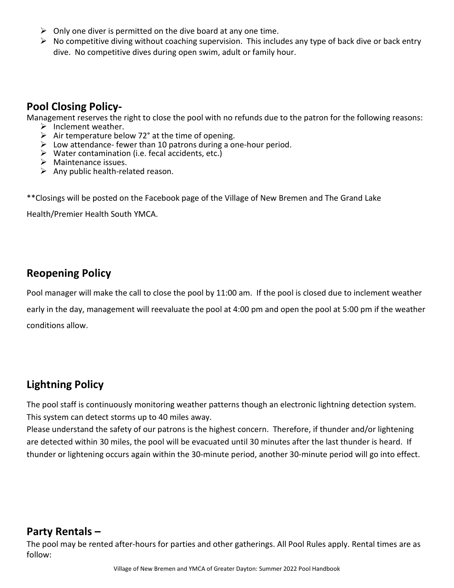- $\triangleright$  Only one diver is permitted on the dive board at any one time.
- $\triangleright$  No competitive diving without coaching supervision. This includes any type of back dive or back entry dive. No competitive dives during open swim, adult or family hour.

# **Pool Closing Policy-**

Management reserves the right to close the pool with no refunds due to the patron for the following reasons:

- 
- 
- Air temperature below 72° at the time of opening.<br>
Intemperature below 72° at the time of opening.<br>
Interation attendance- fewer than 10 patrons during a one-hour period.
- $\triangleright$  Water contamination (i.e. fecal accidents, etc.)
- $\triangleright$  Maintenance issues.
- $\triangleright$  Any public health-related reason.

\*\*Closings will be posted on the Facebook page of the Village of New Bremen and The Grand Lake

Health/Premier Health South YMCA.

### **Reopening Policy**

Pool manager will make the call to close the pool by 11:00 am. If the pool is closed due to inclement weather

early in the day, management will reevaluate the pool at 4:00 pm and open the pool at 5:00 pm if the weather conditions allow.

# **Lightning Policy**

The pool staff is continuously monitoring weather patterns though an electronic lightning detection system. This system can detect storms up to 40 miles away.

Please understand the safety of our patrons is the highest concern. Therefore, if thunder and/or lightening are detected within 30 miles, the pool will be evacuated until 30 minutes after the last thunder is heard. If thunder or lightening occurs again within the 30-minute period, another 30-minute period will go into effect.

#### **Party Rentals –**

The pool may be rented after-hours for parties and other gatherings. All Pool Rules apply. Rental times are as follow: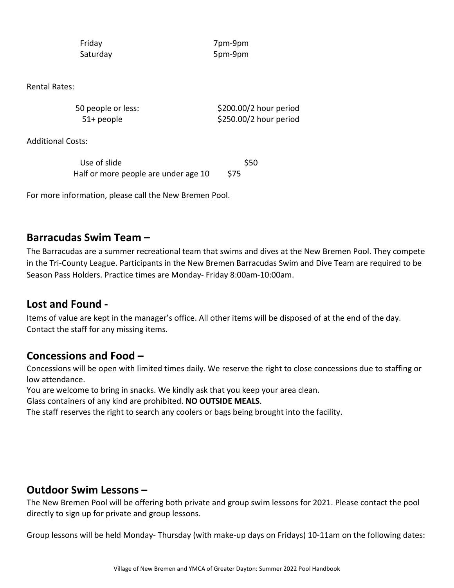Friday 7pm-9pm Saturday 5pm-9pm

Rental Rates:

50 people or less:  $$200.00/2$  hour period 51+ people \$250.00/2 hour period

Additional Costs:

Use of slide  $\sim$  \$50 Half or more people are under age 10 \$75

For more information, please call the New Bremen Pool.

#### **Barracudas Swim Team –**

The Barracudas are a summer recreational team that swims and dives at the New Bremen Pool. They compete in the Tri-County League. Participants in the New Bremen Barracudas Swim and Dive Team are required to be Season Pass Holders. Practice times are Monday- Friday 8:00am-10:00am.

#### **Lost and Found -**

Items of value are kept in the manager's office. All other items will be disposed of at the end of the day. Contact the staff for any missing items.

#### **Concessions and Food –**

Concessions will be open with limited times daily. We reserve the right to close concessions due to staffing or low attendance.

You are welcome to bring in snacks. We kindly ask that you keep your area clean.

Glass containers of any kind are prohibited. **NO OUTSIDE MEALS**.

The staff reserves the right to search any coolers or bags being brought into the facility.

#### **Outdoor Swim Lessons –**

The New Bremen Pool will be offering both private and group swim lessons for 2021. Please contact the pool directly to sign up for private and group lessons.

Group lessons will be held Monday- Thursday (with make-up days on Fridays) 10-11am on the following dates: